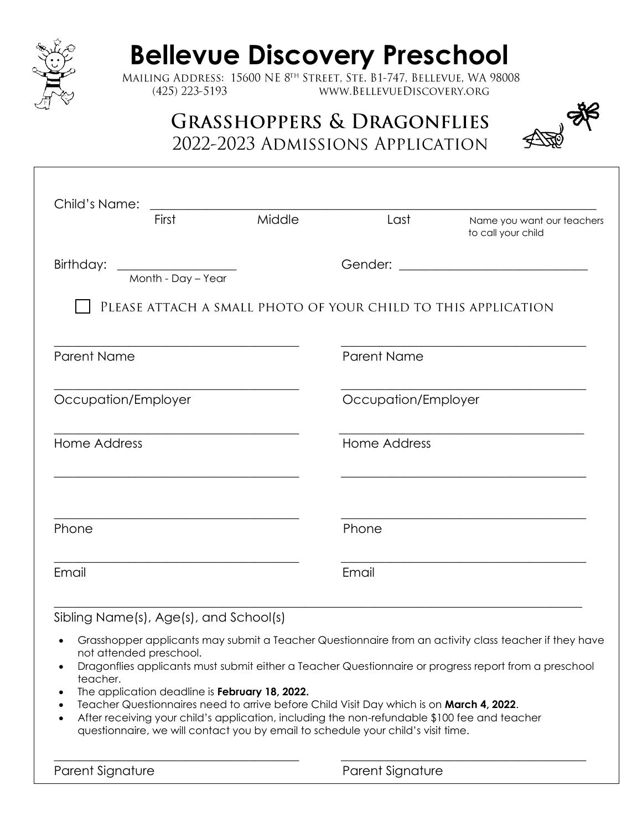

## **Bellevue Discovery Preschool**<br>MAILING ADDRESS: 15600 NE 8<sup>TH</sup> STREET, STE. B1-747, BELLEVUE, WA 98008

 $(425)$  223-5193 WWW.BELLEVUEDISCOVERY.ORG

## **GRASSHOPPERS & DRAGONFLIES** 2022-2023 ADMISSIONS APPLICATION



| First                          |                    | Middle | Last                | Name you want our teachers<br>to call your child              |  |
|--------------------------------|--------------------|--------|---------------------|---------------------------------------------------------------|--|
| Birthday: ____________________ | Month - Day - Year |        |                     |                                                               |  |
|                                |                    |        |                     | PLEASE ATTACH A SMALL PHOTO OF YOUR CHILD TO THIS APPLICATION |  |
| Parent Name                    |                    |        | Parent Name         |                                                               |  |
| Occupation/Employer            |                    |        | Occupation/Employer |                                                               |  |
| Home Address                   |                    |        | Home Address        |                                                               |  |
| Phone                          |                    |        | Phone               |                                                               |  |
|                                |                    |        |                     |                                                               |  |

Sibling Name(s), Age(s), and School(s)

- Grasshopper applicants may submit a Teacher Questionnaire from an activity class teacher if they have not attended preschool.
- Dragonflies applicants must submit either a Teacher Questionnaire or progress report from a preschool teacher.
- The application deadline is **February 18, 2022.**
- Teacher Questionnaires need to arrive before Child Visit Day which is on **March 4, 2022**.
- After receiving your child's application, including the non-refundable \$100 fee and teacher questionnaire, we will contact you by email to schedule your child's visit time.

 $\overline{\phantom{a}}$  , and the contribution of the contribution of the contribution of the contribution of the contribution of the contribution of the contribution of the contribution of the contribution of the contribution of the

Parent Signature **Parent Signature** Parent Signature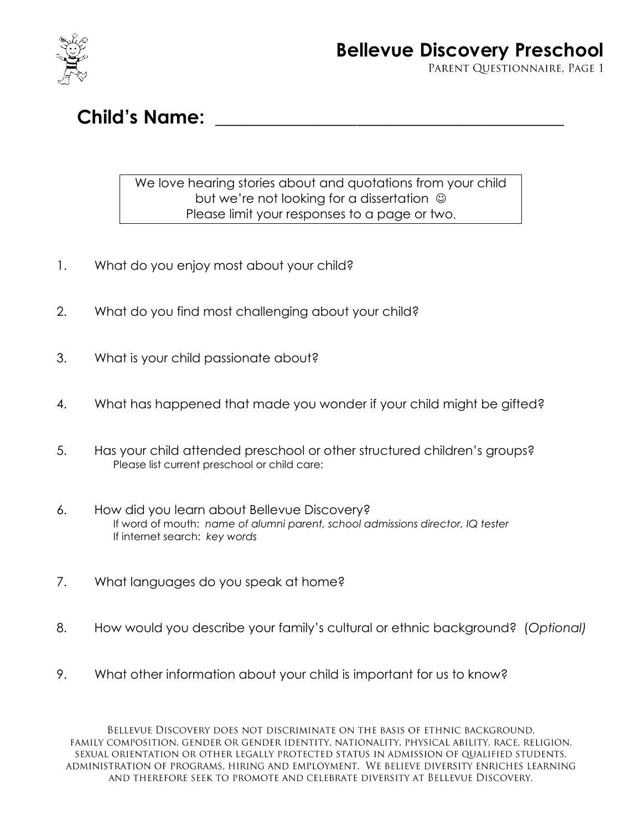

Child's Name:

## We love hearing stories about and quotations from your child but we're not looking for a dissertation  $\odot$ Please limit your responses to a page or two

- 1. What do you enjoy most about your child?
- 2. What do you find most challenging about your child?
- 3. What is your child passionate about?
- 4. What has happened that made you wonder if your child might be aifted?
- 5. Has your child attended preschool or other structured children's groups? Please list current preschool or child care:
- 6. How did you learn about Bellevue Discovery? If word of mouth: *name of alumni parent, school admissions director, IQ tester* If internet search: *key words*
- 7. What languages do you speak at home?
- 8. How would you describe your family's cultural or ethnic background? (*Optional)*
- 9. What other information about your child is important for us to know?

BELLEVUE DISCOVERY DOES NOT DISCRIMINATE ON THE BASIS OF ETHNIC BACKGROUND. FAMILY COMPOSITION, GENDER OR GENDER IDENTITY, NATIONALITY, PHYSICAL ABILITY, RACE, RELIGION, SEXUAL ORIENTATION OR OTHER LEGALLY PROTECTED STATUS IN ADMISSION OF QUALIFIED STUDENTS, ADMINISTRATION OF PROGRAMS, HIRING AND EMPLOYMENT. WE BELIEVE DIVERSITY ENRICHES LEARNING AND THEREFORE SEEK TO PROMOTE AND CELEBRATE DIVERSITY AT BELLEVUE DISCOVERY.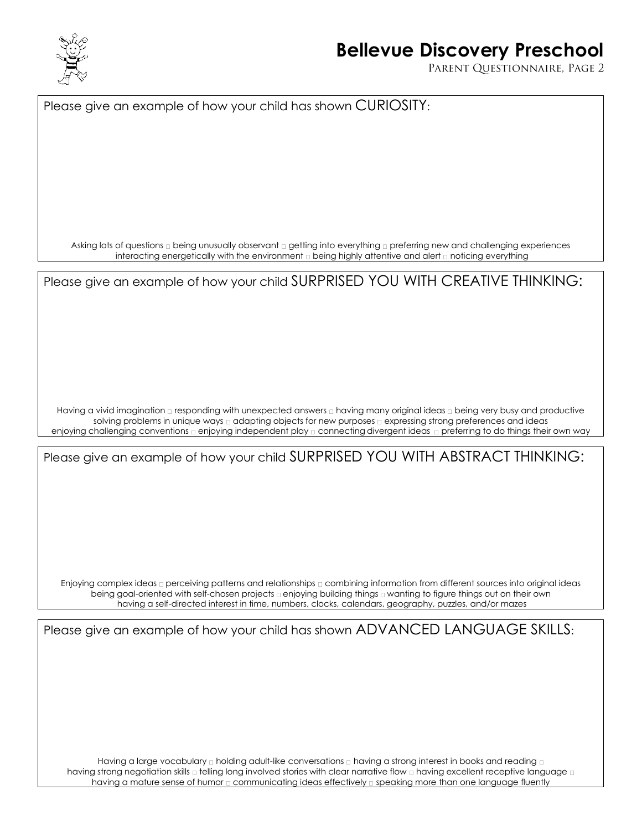

## **Bellevue Discovery Preschool**

PARENT QUESTIONNAIRE, PAGE 2

Please give an example of how your child has shown CURIOSITY:

Asking lots of questions  $\Box$  being unusually observant  $\Box$  getting into everything  $\Box$  preferring new and challenging experiences interacting energetically with the environment a being highly attentive and alert a noticing everything

Please give an example of how your child SURPRISED YOU WITH CREATIVE THINKING:

Having a vivid imagination  $\Box$  responding with unexpected answers  $\Box$  having many original ideas  $\Box$  being very busy and productive solving problems in unique ways a adapting objects for new purposes a expressing strong preferences and ideas enjoying challenging conventions  $\varrho$  enjoying independent play  $\varrho$  connecting divergent ideas  $\varrho$  preferring to do things their own way

Please give an example of how your child SURPRISED YOU WITH ABSTRACT THINKING:

Enjoying complex ideas  $\Box$  perceiving patterns and relationships  $\Box$  combining information from different sources into original ideas being goal-oriented with self-chosen projects a enjoying building things a wanting to figure things out on their own having a self-directed interest in time, numbers, clocks, calendars, geography, puzzles, and/or mazes

Please give an example of how your child has shown ADVANCED LANGUAGE SKILLS:

Having a large vocabulary  $\Box$  holding adult-like conversations  $\Box$  having a strong interest in books and reading  $\Box$ having strong negotiation skills  $\Box$  telling long involved stories with clear narrative flow  $\Box$  having excellent receptive language  $\Box$ having a mature sense of humor  $\Box$  communicating ideas effectively  $\Box$  speaking more than one language fluently